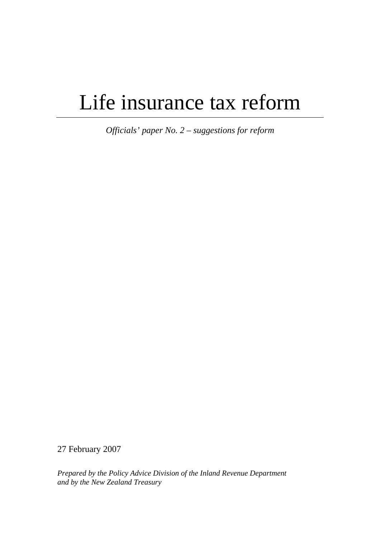# Life insurance tax reform

*Officials' paper No. 2 – suggestions for reform* 

27 February 2007

*Prepared by the Policy Advice Division of the Inland Revenue Department and by the New Zealand Treasury*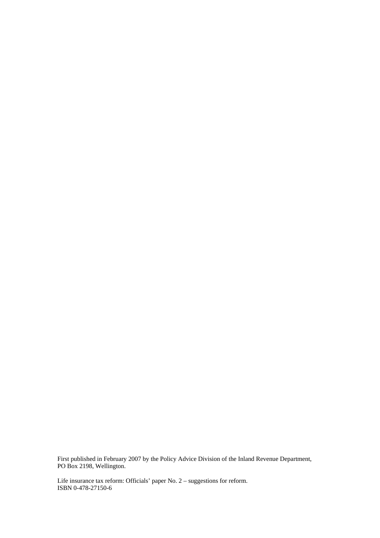First published in February 2007 by the Policy Advice Division of the Inland Revenue Department, PO Box 2198, Wellington.

Life insurance tax reform: Officials' paper No. 2 – suggestions for reform. ISBN 0-478-27150-6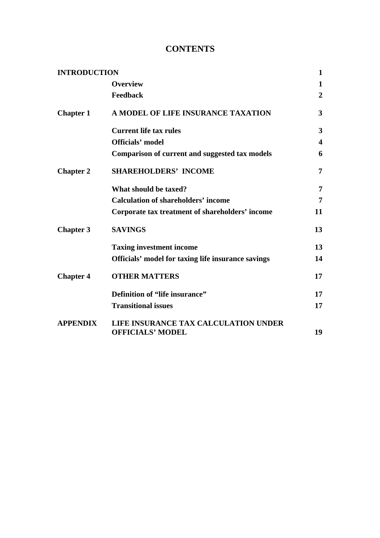# **CONTENTS**

| <b>INTRODUCTION</b> |                                                       | 1                       |
|---------------------|-------------------------------------------------------|-------------------------|
|                     | <b>Overview</b>                                       | 1                       |
|                     | <b>Feedback</b>                                       | $\overline{2}$          |
| <b>Chapter 1</b>    | A MODEL OF LIFE INSURANCE TAXATION                    | 3                       |
|                     | <b>Current life tax rules</b>                         | $\overline{\mathbf{3}}$ |
|                     | <b>Officials' model</b>                               | $\overline{\mathbf{4}}$ |
|                     | <b>Comparison of current and suggested tax models</b> | 6                       |
| <b>Chapter 2</b>    | <b>SHAREHOLDERS' INCOME</b>                           | 7                       |
|                     | What should be taxed?                                 | $\overline{7}$          |
|                     | <b>Calculation of shareholders' income</b>            | 7                       |
|                     | Corporate tax treatment of shareholders' income       | 11                      |
| <b>Chapter 3</b>    | <b>SAVINGS</b>                                        | 13                      |
|                     | <b>Taxing investment income</b>                       | 13                      |
|                     | Officials' model for taxing life insurance savings    | 14                      |
| <b>Chapter 4</b>    | <b>OTHER MATTERS</b>                                  | 17                      |
|                     | Definition of "life insurance"                        | 17                      |
|                     | <b>Transitional issues</b>                            | 17                      |
| <b>APPENDIX</b>     | LIFE INSURANCE TAX CALCULATION UNDER                  |                         |
|                     | <b>OFFICIALS' MODEL</b>                               | 19                      |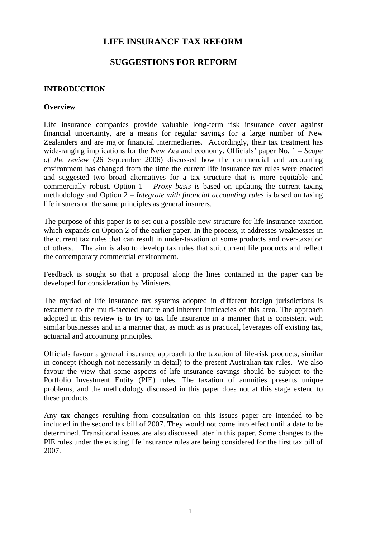# **LIFE INSURANCE TAX REFORM**

# **SUGGESTIONS FOR REFORM**

#### **INTRODUCTION**

#### **Overview**

Life insurance companies provide valuable long-term risk insurance cover against financial uncertainty, are a means for regular savings for a large number of New Zealanders and are major financial intermediaries. Accordingly, their tax treatment has wide-ranging implications for the New Zealand economy. Officials' paper No. 1 – *Scope of the review* (26 September 2006) discussed how the commercial and accounting environment has changed from the time the current life insurance tax rules were enacted and suggested two broad alternatives for a tax structure that is more equitable and commercially robust. Option 1 – *Proxy basis* is based on updating the current taxing methodology and Option 2 – *Integrate with financial accounting rules* is based on taxing life insurers on the same principles as general insurers.

The purpose of this paper is to set out a possible new structure for life insurance taxation which expands on Option 2 of the earlier paper. In the process, it addresses weaknesses in the current tax rules that can result in under-taxation of some products and over-taxation of others. The aim is also to develop tax rules that suit current life products and reflect the contemporary commercial environment.

Feedback is sought so that a proposal along the lines contained in the paper can be developed for consideration by Ministers.

The myriad of life insurance tax systems adopted in different foreign jurisdictions is testament to the multi-faceted nature and inherent intricacies of this area. The approach adopted in this review is to try to tax life insurance in a manner that is consistent with similar businesses and in a manner that, as much as is practical, leverages off existing tax, actuarial and accounting principles.

Officials favour a general insurance approach to the taxation of life-risk products, similar in concept (though not necessarily in detail) to the present Australian tax rules. We also favour the view that some aspects of life insurance savings should be subject to the Portfolio Investment Entity (PIE) rules. The taxation of annuities presents unique problems, and the methodology discussed in this paper does not at this stage extend to these products.

Any tax changes resulting from consultation on this issues paper are intended to be included in the second tax bill of 2007. They would not come into effect until a date to be determined. Transitional issues are also discussed later in this paper. Some changes to the PIE rules under the existing life insurance rules are being considered for the first tax bill of 2007.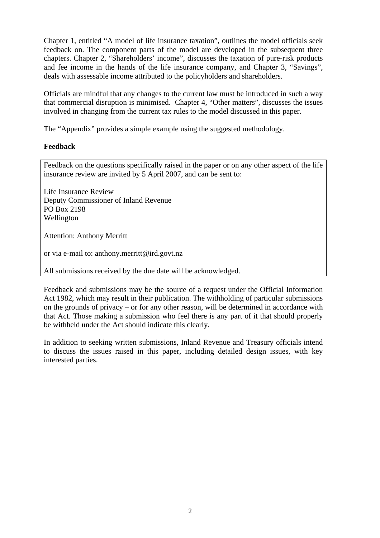Chapter 1, entitled "A model of life insurance taxation", outlines the model officials seek feedback on. The component parts of the model are developed in the subsequent three chapters. Chapter 2, "Shareholders' income", discusses the taxation of pure-risk products and fee income in the hands of the life insurance company, and Chapter 3, "Savings", deals with assessable income attributed to the policyholders and shareholders.

Officials are mindful that any changes to the current law must be introduced in such a way that commercial disruption is minimised. Chapter 4, "Other matters", discusses the issues involved in changing from the current tax rules to the model discussed in this paper.

The "Appendix" provides a simple example using the suggested methodology.

# **Feedback**

Feedback on the questions specifically raised in the paper or on any other aspect of the life insurance review are invited by 5 April 2007, and can be sent to:

Life Insurance Review Deputy Commissioner of Inland Revenue PO Box 2198 Wellington

Attention: Anthony Merritt

or via e-mail to: anthony.merritt@ird.govt.nz

All submissions received by the due date will be acknowledged.

Feedback and submissions may be the source of a request under the Official Information Act 1982, which may result in their publication. The withholding of particular submissions on the grounds of privacy – or for any other reason, will be determined in accordance with that Act. Those making a submission who feel there is any part of it that should properly be withheld under the Act should indicate this clearly.

In addition to seeking written submissions, Inland Revenue and Treasury officials intend to discuss the issues raised in this paper, including detailed design issues, with key interested parties.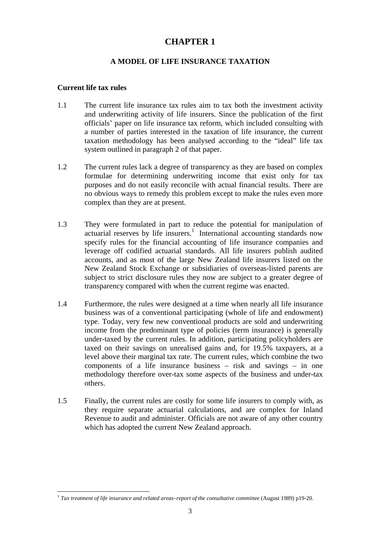# **CHAPTER 1**

# **A MODEL OF LIFE INSURANCE TAXATION**

#### **Current life tax rules**

 $\overline{a}$ 

- 1.1 The current life insurance tax rules aim to tax both the investment activity and underwriting activity of life insurers. Since the publication of the first officials' paper on life insurance tax reform, which included consulting with a number of parties interested in the taxation of life insurance, the current taxation methodology has been analysed according to the "ideal" life tax system outlined in paragraph 2 of that paper.
- 1.2 The current rules lack a degree of transparency as they are based on complex formulae for determining underwriting income that exist only for tax purposes and do not easily reconcile with actual financial results. There are no obvious ways to remedy this problem except to make the rules even more complex than they are at present.
- 1.3 They were formulated in part to reduce the potential for manipulation of actuarial reserves by life insurers.<sup>1</sup> International accounting standards now specify rules for the financial accounting of life insurance companies and leverage off codified actuarial standards. All life insurers publish audited accounts, and as most of the large New Zealand life insurers listed on the New Zealand Stock Exchange or subsidiaries of overseas-listed parents are subject to strict disclosure rules they now are subject to a greater degree of transparency compared with when the current regime was enacted.
- 1.4 Furthermore, the rules were designed at a time when nearly all life insurance business was of a conventional participating (whole of life and endowment) type. Today, very few new conventional products are sold and underwriting income from the predominant type of policies (term insurance) is generally under-taxed by the current rules. In addition, participating policyholders are taxed on their savings on unrealised gains and, for 19.5% taxpayers, at a level above their marginal tax rate. The current rules, which combine the two components of a life insurance business – risk and savings – in one methodology therefore over-tax some aspects of the business and under-tax others.
- 1.5 Finally, the current rules are costly for some life insurers to comply with, as they require separate actuarial calculations, and are complex for Inland Revenue to audit and administer. Officials are not aware of any other country which has adopted the current New Zealand approach.

<sup>1</sup> *Tax treatment of life insurance and related areas–report of the consultative committee* (August 1989) p19-20.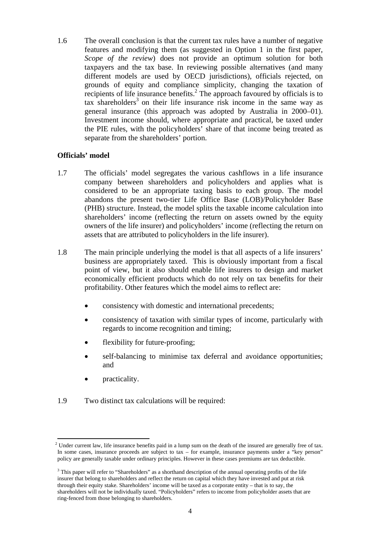1.6 The overall conclusion is that the current tax rules have a number of negative features and modifying them (as suggested in Option 1 in the first paper, *Scope of the review*) does not provide an optimum solution for both taxpayers and the tax base. In reviewing possible alternatives (and many different models are used by OECD jurisdictions), officials rejected, on grounds of equity and compliance simplicity, changing the taxation of recipients of life insurance benefits.<sup>2</sup> The approach favoured by officials is to tax shareholders<sup>3</sup> on their life insurance risk income in the same way as general insurance (this approach was adopted by Australia in 2000–01). Investment income should, where appropriate and practical, be taxed under the PIE rules, with the policyholders' share of that income being treated as separate from the shareholders' portion.

### **Officials' model**

- 1.7 The officials' model segregates the various cashflows in a life insurance company between shareholders and policyholders and applies what is considered to be an appropriate taxing basis to each group. The model abandons the present two-tier Life Office Base (LOB)/Policyholder Base (PHB) structure. Instead, the model splits the taxable income calculation into shareholders' income (reflecting the return on assets owned by the equity owners of the life insurer) and policyholders' income (reflecting the return on assets that are attributed to policyholders in the life insurer).
- 1.8 The main principle underlying the model is that all aspects of a life insurers' business are appropriately taxed. This is obviously important from a fiscal point of view, but it also should enable life insurers to design and market economically efficient products which do not rely on tax benefits for their profitability. Other features which the model aims to reflect are:
	- consistency with domestic and international precedents;
	- consistency of taxation with similar types of income, particularly with regards to income recognition and timing;
	- flexibility for future-proofing;
	- self-balancing to minimise tax deferral and avoidance opportunities; and
	- practicality.

 $\overline{a}$ 

1.9 Two distinct tax calculations will be required:

<sup>&</sup>lt;sup>2</sup> Under current law, life insurance benefits paid in a lump sum on the death of the insured are generally free of tax. In some cases, insurance proceeds are subject to tax – for example, insurance payments under a "key person" policy are generally taxable under ordinary principles. However in these cases premiums are tax deductible.

<sup>&</sup>lt;sup>3</sup> This paper will refer to "Shareholders" as a shorthand description of the annual operating profits of the life insurer that belong to shareholders and reflect the return on capital which they have invested and put at risk through their equity stake. Shareholders' income will be taxed as a corporate entity – that is to say, the shareholders will not be individually taxed. "Policyholders" refers to income from policyholder assets that are ring-fenced from those belonging to shareholders.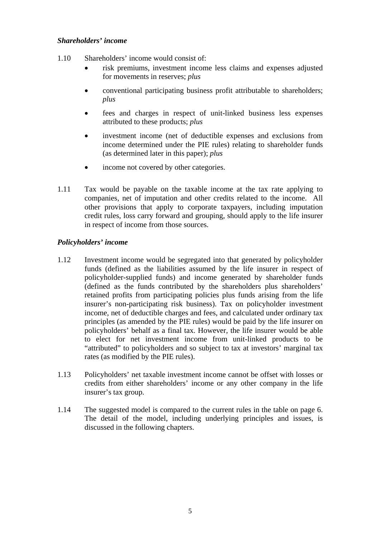#### *Shareholders' income*

- 1.10 Shareholders' income would consist of:
	- risk premiums, investment income less claims and expenses adjusted for movements in reserves; *plus*
	- conventional participating business profit attributable to shareholders; *plus*
	- fees and charges in respect of unit-linked business less expenses attributed to these products; *plus*
	- investment income (net of deductible expenses and exclusions from income determined under the PIE rules) relating to shareholder funds (as determined later in this paper); *plus*
	- income not covered by other categories.
- 1.11 Tax would be payable on the taxable income at the tax rate applying to companies, net of imputation and other credits related to the income. All other provisions that apply to corporate taxpayers, including imputation credit rules, loss carry forward and grouping, should apply to the life insurer in respect of income from those sources.

### *Policyholders' income*

- 1.12 Investment income would be segregated into that generated by policyholder funds (defined as the liabilities assumed by the life insurer in respect of policyholder-supplied funds) and income generated by shareholder funds (defined as the funds contributed by the shareholders plus shareholders' retained profits from participating policies plus funds arising from the life insurer's non-participating risk business). Tax on policyholder investment income, net of deductible charges and fees, and calculated under ordinary tax principles (as amended by the PIE rules) would be paid by the life insurer on policyholders' behalf as a final tax. However, the life insurer would be able to elect for net investment income from unit-linked products to be "attributed" to policyholders and so subject to tax at investors' marginal tax rates (as modified by the PIE rules).
- 1.13 Policyholders' net taxable investment income cannot be offset with losses or credits from either shareholders' income or any other company in the life insurer's tax group.
- 1.14 The suggested model is compared to the current rules in the table on page 6. The detail of the model, including underlying principles and issues, is discussed in the following chapters.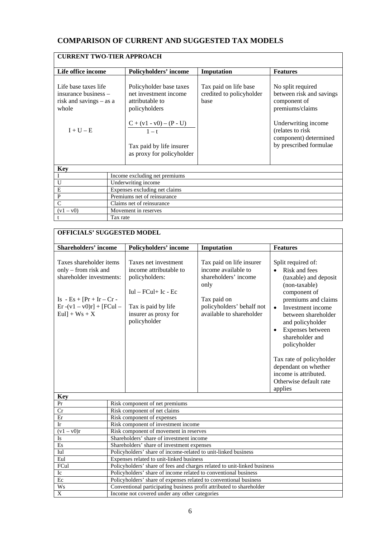# **COMPARISON OF CURRENT AND SUGGESTED TAX MODELS**

| <b>CURRENT TWO-TIER APPROACH</b>                                                                  |                               |                                                                                                                                                                                          |                                                           |                                                                                                                                                                                |
|---------------------------------------------------------------------------------------------------|-------------------------------|------------------------------------------------------------------------------------------------------------------------------------------------------------------------------------------|-----------------------------------------------------------|--------------------------------------------------------------------------------------------------------------------------------------------------------------------------------|
| Life office income                                                                                |                               | <b>Policyholders' income</b>                                                                                                                                                             | Imputation                                                | <b>Features</b>                                                                                                                                                                |
| Life base taxes life<br>insurance business –<br>risk and savings $-$ as a<br>whole<br>$I + U - E$ |                               | Policyholder base taxes<br>net investment income<br>attributable to<br>policyholders<br>$\frac{C + (v1 - v0) - (P - U)}{1 - t}$<br>Tax paid by life insurer<br>as proxy for policyholder | Tax paid on life base<br>credited to policyholder<br>base | No split required<br>between risk and savings<br>component of<br>premiums/claims<br>Underwriting income<br>(relates to risk<br>component) determined<br>by prescribed formulae |
| <b>Key</b>                                                                                        |                               |                                                                                                                                                                                          |                                                           |                                                                                                                                                                                |
|                                                                                                   |                               | Income excluding net premiums                                                                                                                                                            |                                                           |                                                                                                                                                                                |
| U                                                                                                 | Underwriting income           |                                                                                                                                                                                          |                                                           |                                                                                                                                                                                |
| E                                                                                                 | Expenses excluding net claims |                                                                                                                                                                                          |                                                           |                                                                                                                                                                                |
| ${\bf P}$                                                                                         | Premiums net of reinsurance   |                                                                                                                                                                                          |                                                           |                                                                                                                                                                                |
| $\overline{C}$                                                                                    | Claims net of reinsurance     |                                                                                                                                                                                          |                                                           |                                                                                                                                                                                |
| $(v1 - v0)$                                                                                       | Movement in reserves          |                                                                                                                                                                                          |                                                           |                                                                                                                                                                                |
|                                                                                                   | Tax rate                      |                                                                                                                                                                                          |                                                           |                                                                                                                                                                                |

| <b>OFFICIALS' SUGGESTED MODEL</b>                                                                                                                                                           |                                                                          |                                                                                                                                                           |                                                                                                                                                         |                                                                                                                                                                                                                                                                                                                                                                                         |
|---------------------------------------------------------------------------------------------------------------------------------------------------------------------------------------------|--------------------------------------------------------------------------|-----------------------------------------------------------------------------------------------------------------------------------------------------------|---------------------------------------------------------------------------------------------------------------------------------------------------------|-----------------------------------------------------------------------------------------------------------------------------------------------------------------------------------------------------------------------------------------------------------------------------------------------------------------------------------------------------------------------------------------|
|                                                                                                                                                                                             |                                                                          | Policyholders' income                                                                                                                                     | Imputation                                                                                                                                              | <b>Features</b>                                                                                                                                                                                                                                                                                                                                                                         |
| <b>Shareholders' income</b><br>Taxes shareholder items<br>only – from risk and<br>shareholder investments:<br>$Is - Es + [Pr + Ir - Cr -$<br>$Er - (v1 - v0)r$ + [FCul –<br>$Eul] + Ws + X$ |                                                                          | Taxes net investment<br>income attributable to<br>policyholders:<br>$Iul - FCul + Ic - Ec$<br>Tax is paid by life<br>insurer as proxy for<br>policyholder | Tax paid on life insurer<br>income available to<br>shareholders' income<br>only<br>Tax paid on<br>policyholders' behalf not<br>available to shareholder | Split required of:<br>Risk and fees<br>(taxable) and deposit<br>(non-taxable)<br>component of<br>premiums and claims<br>Investment income<br>$\bullet$<br>between shareholder<br>and policyholder<br>Expenses between<br>$\bullet$<br>shareholder and<br>policyholder<br>Tax rate of policyholder<br>dependant on whether<br>income is attributed.<br>Otherwise default rate<br>applies |
| <b>Key</b>                                                                                                                                                                                  |                                                                          |                                                                                                                                                           |                                                                                                                                                         |                                                                                                                                                                                                                                                                                                                                                                                         |
| Pr                                                                                                                                                                                          | Risk component of net premiums                                           |                                                                                                                                                           |                                                                                                                                                         |                                                                                                                                                                                                                                                                                                                                                                                         |
| Cr                                                                                                                                                                                          |                                                                          | Risk component of net claims                                                                                                                              |                                                                                                                                                         |                                                                                                                                                                                                                                                                                                                                                                                         |
| Er                                                                                                                                                                                          | Risk component of expenses                                               |                                                                                                                                                           |                                                                                                                                                         |                                                                                                                                                                                                                                                                                                                                                                                         |
| <b>Ir</b>                                                                                                                                                                                   | Risk component of investment income                                      |                                                                                                                                                           |                                                                                                                                                         |                                                                                                                                                                                                                                                                                                                                                                                         |
| $(v1 - v0)r$                                                                                                                                                                                | Risk component of movement in reserves                                   |                                                                                                                                                           |                                                                                                                                                         |                                                                                                                                                                                                                                                                                                                                                                                         |
| Is                                                                                                                                                                                          | Shareholders' share of investment income                                 |                                                                                                                                                           |                                                                                                                                                         |                                                                                                                                                                                                                                                                                                                                                                                         |
| Es                                                                                                                                                                                          | Shareholders' share of investment expenses                               |                                                                                                                                                           |                                                                                                                                                         |                                                                                                                                                                                                                                                                                                                                                                                         |
| Iul                                                                                                                                                                                         | Policyholders' share of income-related to unit-linked business           |                                                                                                                                                           |                                                                                                                                                         |                                                                                                                                                                                                                                                                                                                                                                                         |
| Eul                                                                                                                                                                                         | Expenses related to unit-linked business                                 |                                                                                                                                                           |                                                                                                                                                         |                                                                                                                                                                                                                                                                                                                                                                                         |
| FCul                                                                                                                                                                                        | Policyholders' share of fees and charges related to unit-linked business |                                                                                                                                                           |                                                                                                                                                         |                                                                                                                                                                                                                                                                                                                                                                                         |
| Ic                                                                                                                                                                                          | Policyholders' share of income related to conventional business          |                                                                                                                                                           |                                                                                                                                                         |                                                                                                                                                                                                                                                                                                                                                                                         |
| Ec                                                                                                                                                                                          | Policyholders' share of expenses related to conventional business        |                                                                                                                                                           |                                                                                                                                                         |                                                                                                                                                                                                                                                                                                                                                                                         |
| Ws                                                                                                                                                                                          | Conventional participating business profit attributed to shareholder     |                                                                                                                                                           |                                                                                                                                                         |                                                                                                                                                                                                                                                                                                                                                                                         |
| $\overline{X}$                                                                                                                                                                              | Income not covered under any other categories                            |                                                                                                                                                           |                                                                                                                                                         |                                                                                                                                                                                                                                                                                                                                                                                         |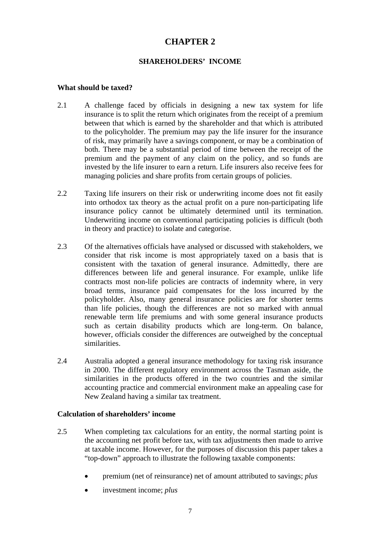# **CHAPTER 2**

### **SHAREHOLDERS' INCOME**

#### **What should be taxed?**

- 2.1 A challenge faced by officials in designing a new tax system for life insurance is to split the return which originates from the receipt of a premium between that which is earned by the shareholder and that which is attributed to the policyholder. The premium may pay the life insurer for the insurance of risk, may primarily have a savings component, or may be a combination of both. There may be a substantial period of time between the receipt of the premium and the payment of any claim on the policy, and so funds are invested by the life insurer to earn a return. Life insurers also receive fees for managing policies and share profits from certain groups of policies.
- 2.2 Taxing life insurers on their risk or underwriting income does not fit easily into orthodox tax theory as the actual profit on a pure non-participating life insurance policy cannot be ultimately determined until its termination. Underwriting income on conventional participating policies is difficult (both in theory and practice) to isolate and categorise.
- 2.3 Of the alternatives officials have analysed or discussed with stakeholders, we consider that risk income is most appropriately taxed on a basis that is consistent with the taxation of general insurance. Admittedly, there are differences between life and general insurance. For example, unlike life contracts most non-life policies are contracts of indemnity where, in very broad terms, insurance paid compensates for the loss incurred by the policyholder. Also, many general insurance policies are for shorter terms than life policies, though the differences are not so marked with annual renewable term life premiums and with some general insurance products such as certain disability products which are long-term. On balance, however, officials consider the differences are outweighed by the conceptual similarities.
- 2.4 Australia adopted a general insurance methodology for taxing risk insurance in 2000. The different regulatory environment across the Tasman aside, the similarities in the products offered in the two countries and the similar accounting practice and commercial environment make an appealing case for New Zealand having a similar tax treatment.

#### **Calculation of shareholders' income**

- 2.5 When completing tax calculations for an entity, the normal starting point is the accounting net profit before tax, with tax adjustments then made to arrive at taxable income. However, for the purposes of discussion this paper takes a "top-down" approach to illustrate the following taxable components:
	- premium (net of reinsurance) net of amount attributed to savings; *plus*
	- investment income; *plus*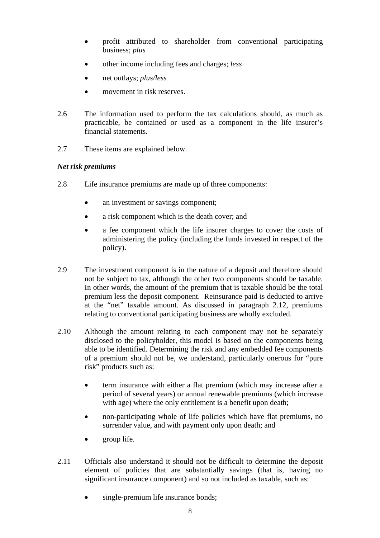- profit attributed to shareholder from conventional participating business; *plus*
- other income including fees and charges; *less*
- net outlays; *plus/less*
- movement in risk reserves.
- 2.6 The information used to perform the tax calculations should, as much as practicable, be contained or used as a component in the life insurer's financial statements.
- 2.7 These items are explained below.

### *Net risk premiums*

- 2.8 Life insurance premiums are made up of three components:
	- an investment or savings component;
	- a risk component which is the death cover; and
	- a fee component which the life insurer charges to cover the costs of administering the policy (including the funds invested in respect of the policy).
- 2.9 The investment component is in the nature of a deposit and therefore should not be subject to tax, although the other two components should be taxable. In other words, the amount of the premium that is taxable should be the total premium less the deposit component. Reinsurance paid is deducted to arrive at the "net" taxable amount. As discussed in paragraph 2.12, premiums relating to conventional participating business are wholly excluded.
- 2.10 Although the amount relating to each component may not be separately disclosed to the policyholder, this model is based on the components being able to be identified. Determining the risk and any embedded fee components of a premium should not be, we understand, particularly onerous for "pure risk" products such as:
	- term insurance with either a flat premium (which may increase after a period of several years) or annual renewable premiums (which increase with age) where the only entitlement is a benefit upon death;
	- non-participating whole of life policies which have flat premiums, no surrender value, and with payment only upon death; and
	- group life.
- 2.11 Officials also understand it should not be difficult to determine the deposit element of policies that are substantially savings (that is, having no significant insurance component) and so not included as taxable, such as:
	- single-premium life insurance bonds;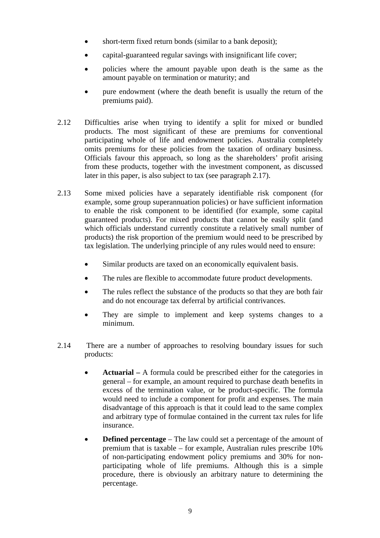- short-term fixed return bonds (similar to a bank deposit);
- capital-guaranteed regular savings with insignificant life cover:
- policies where the amount payable upon death is the same as the amount payable on termination or maturity; and
- pure endowment (where the death benefit is usually the return of the premiums paid).
- 2.12 Difficulties arise when trying to identify a split for mixed or bundled products. The most significant of these are premiums for conventional participating whole of life and endowment policies. Australia completely omits premiums for these policies from the taxation of ordinary business. Officials favour this approach, so long as the shareholders' profit arising from these products, together with the investment component, as discussed later in this paper, is also subject to tax (see paragraph 2.17).
- 2.13 Some mixed policies have a separately identifiable risk component (for example, some group superannuation policies) or have sufficient information to enable the risk component to be identified (for example, some capital guaranteed products). For mixed products that cannot be easily split (and which officials understand currently constitute a relatively small number of products) the risk proportion of the premium would need to be prescribed by tax legislation. The underlying principle of any rules would need to ensure:
	- Similar products are taxed on an economically equivalent basis.
	- The rules are flexible to accommodate future product developments.
	- The rules reflect the substance of the products so that they are both fair and do not encourage tax deferral by artificial contrivances.
	- They are simple to implement and keep systems changes to a minimum.
- 2.14 There are a number of approaches to resolving boundary issues for such products:
	- **Actuarial** A formula could be prescribed either for the categories in general – for example, an amount required to purchase death benefits in excess of the termination value, or be product-specific. The formula would need to include a component for profit and expenses. The main disadvantage of this approach is that it could lead to the same complex and arbitrary type of formulae contained in the current tax rules for life insurance.
	- **Defined percentage** The law could set a percentage of the amount of premium that is taxable – for example, Australian rules prescribe 10% of non-participating endowment policy premiums and 30% for nonparticipating whole of life premiums. Although this is a simple procedure, there is obviously an arbitrary nature to determining the percentage.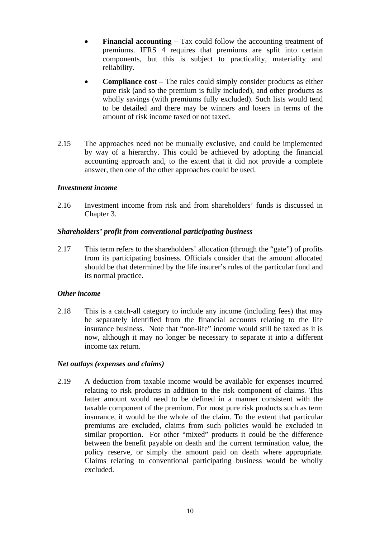- **Financial accounting Tax could follow the accounting treatment of** premiums. IFRS 4 requires that premiums are split into certain components, but this is subject to practicality, materiality and reliability.
- **Compliance cost**  The rules could simply consider products as either pure risk (and so the premium is fully included), and other products as wholly savings (with premiums fully excluded). Such lists would tend to be detailed and there may be winners and losers in terms of the amount of risk income taxed or not taxed.
- 2.15 The approaches need not be mutually exclusive, and could be implemented by way of a hierarchy. This could be achieved by adopting the financial accounting approach and, to the extent that it did not provide a complete answer, then one of the other approaches could be used.

## *Investment income*

2.16 Investment income from risk and from shareholders' funds is discussed in Chapter 3.

#### *Shareholders' profit from conventional participating business*

2.17 This term refers to the shareholders' allocation (through the "gate") of profits from its participating business. Officials consider that the amount allocated should be that determined by the life insurer's rules of the particular fund and its normal practice.

#### *Other income*

2.18 This is a catch-all category to include any income (including fees) that may be separately identified from the financial accounts relating to the life insurance business. Note that "non-life" income would still be taxed as it is now, although it may no longer be necessary to separate it into a different income tax return.

#### *Net outlays (expenses and claims)*

2.19 A deduction from taxable income would be available for expenses incurred relating to risk products in addition to the risk component of claims. This latter amount would need to be defined in a manner consistent with the taxable component of the premium. For most pure risk products such as term insurance, it would be the whole of the claim. To the extent that particular premiums are excluded, claims from such policies would be excluded in similar proportion. For other "mixed" products it could be the difference between the benefit payable on death and the current termination value, the policy reserve, or simply the amount paid on death where appropriate. Claims relating to conventional participating business would be wholly excluded.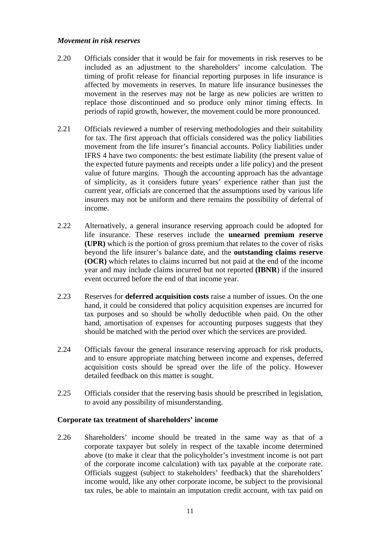#### *Movement in risk reserves*

- 2.20 Officials consider that it would be fair for movements in risk reserves to be included as an adjustment to the shareholders' income calculation. The timing of profit release for financial reporting purposes in life insurance is affected by movements in reserves. In mature life insurance businesses the movement in the reserves may not be large as new policies are written to replace those discontinued and so produce only minor timing effects. In periods of rapid growth, however, the movement could be more pronounced.
- 2.21 Officials reviewed a number of reserving methodologies and their suitability for tax. The first approach that officials considered was the policy liabilities movement from the life insurer's financial accounts. Policy liabilities under IFRS 4 have two components: the best estimate liability (the present value of the expected future payments and receipts under a life policy) and the present value of future margins. Though the accounting approach has the advantage of simplicity, as it considers future years' experience rather than just the current year, officials are concerned that the assumptions used by various life insurers may not be uniform and there remains the possibility of deferral of income.
- 2.22 Alternatively, a general insurance reserving approach could be adopted for life insurance. These reserves include the **unearned premium reserve (UPR)** which is the portion of gross premium that relates to the cover of risks beyond the life insurer's balance date, and the **outstanding claims reserve (OCR)** which relates to claims incurred but not paid at the end of the income year and may include claims incurred but not reported **(IBNR**) if the insured event occurred before the end of that income year.
- 2.23 Reserves for **deferred acquisition costs** raise a number of issues. On the one hand, it could be considered that policy acquisition expenses are incurred for tax purposes and so should be wholly deductible when paid. On the other hand, amortisation of expenses for accounting purposes suggests that they should be matched with the period over which the services are provided.
- 2.24 Officials favour the general insurance reserving approach for risk products, and to ensure appropriate matching between income and expenses, deferred acquisition costs should be spread over the life of the policy. However detailed feedback on this matter is sought.
- 2.25 Officials consider that the reserving basis should be prescribed in legislation, to avoid any possibility of misunderstanding.

#### **Corporate tax treatment of shareholders' income**

2.26 Shareholders' income should be treated in the same way as that of a corporate taxpayer but solely in respect of the taxable income determined above (to make it clear that the policyholder's investment income is not part of the corporate income calculation) with tax payable at the corporate rate. Officials suggest (subject to stakeholders' feedback) that the shareholders' income would, like any other corporate income, be subject to the provisional tax rules, be able to maintain an imputation credit account, with tax paid on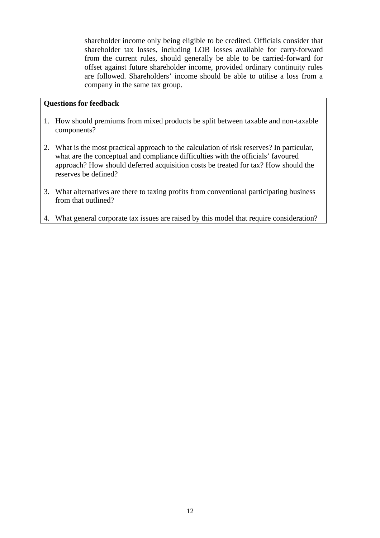shareholder income only being eligible to be credited. Officials consider that shareholder tax losses, including LOB losses available for carry-forward from the current rules, should generally be able to be carried-forward for offset against future shareholder income, provided ordinary continuity rules are followed. Shareholders' income should be able to utilise a loss from a company in the same tax group.

## **Questions for feedback**

- 1. How should premiums from mixed products be split between taxable and non-taxable components?
- 2. What is the most practical approach to the calculation of risk reserves? In particular, what are the conceptual and compliance difficulties with the officials' favoured approach? How should deferred acquisition costs be treated for tax? How should the reserves be defined?
- 3. What alternatives are there to taxing profits from conventional participating business from that outlined?
- 4. What general corporate tax issues are raised by this model that require consideration?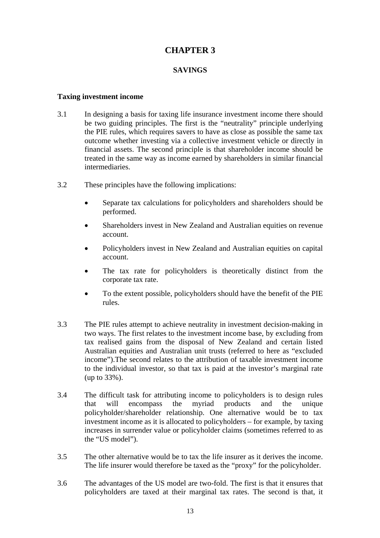# **CHAPTER 3**

## **SAVINGS**

#### **Taxing investment income**

- 3.1 In designing a basis for taxing life insurance investment income there should be two guiding principles. The first is the "neutrality" principle underlying the PIE rules, which requires savers to have as close as possible the same tax outcome whether investing via a collective investment vehicle or directly in financial assets. The second principle is that shareholder income should be treated in the same way as income earned by shareholders in similar financial intermediaries.
- 3.2 These principles have the following implications:
	- Separate tax calculations for policyholders and shareholders should be performed.
	- Shareholders invest in New Zealand and Australian equities on revenue account.
	- Policyholders invest in New Zealand and Australian equities on capital account.
	- The tax rate for policyholders is theoretically distinct from the corporate tax rate.
	- To the extent possible, policyholders should have the benefit of the PIE rules.
- 3.3 The PIE rules attempt to achieve neutrality in investment decision-making in two ways. The first relates to the investment income base, by excluding from tax realised gains from the disposal of New Zealand and certain listed Australian equities and Australian unit trusts (referred to here as "excluded income").The second relates to the attribution of taxable investment income to the individual investor, so that tax is paid at the investor's marginal rate (up to 33%).
- 3.4 The difficult task for attributing income to policyholders is to design rules that will encompass the myriad products and the unique policyholder/shareholder relationship. One alternative would be to tax investment income as it is allocated to policyholders – for example, by taxing increases in surrender value or policyholder claims (sometimes referred to as the "US model").
- 3.5 The other alternative would be to tax the life insurer as it derives the income. The life insurer would therefore be taxed as the "proxy" for the policyholder.
- 3.6 The advantages of the US model are two-fold. The first is that it ensures that policyholders are taxed at their marginal tax rates. The second is that, it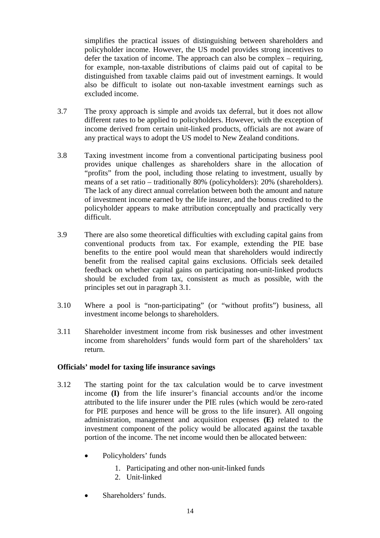simplifies the practical issues of distinguishing between shareholders and policyholder income. However, the US model provides strong incentives to defer the taxation of income. The approach can also be complex – requiring, for example, non-taxable distributions of claims paid out of capital to be distinguished from taxable claims paid out of investment earnings. It would also be difficult to isolate out non-taxable investment earnings such as excluded income.

- 3.7 The proxy approach is simple and avoids tax deferral, but it does not allow different rates to be applied to policyholders. However, with the exception of income derived from certain unit-linked products, officials are not aware of any practical ways to adopt the US model to New Zealand conditions.
- 3.8 Taxing investment income from a conventional participating business pool provides unique challenges as shareholders share in the allocation of "profits" from the pool, including those relating to investment, usually by means of a set ratio – traditionally 80% (policyholders): 20% (shareholders). The lack of any direct annual correlation between both the amount and nature of investment income earned by the life insurer, and the bonus credited to the policyholder appears to make attribution conceptually and practically very difficult.
- 3.9 There are also some theoretical difficulties with excluding capital gains from conventional products from tax. For example, extending the PIE base benefits to the entire pool would mean that shareholders would indirectly benefit from the realised capital gains exclusions. Officials seek detailed feedback on whether capital gains on participating non-unit-linked products should be excluded from tax, consistent as much as possible, with the principles set out in paragraph 3.1.
- 3.10 Where a pool is "non-participating" (or "without profits") business, all investment income belongs to shareholders.
- 3.11 Shareholder investment income from risk businesses and other investment income from shareholders' funds would form part of the shareholders' tax return.

#### **Officials' model for taxing life insurance savings**

- 3.12 The starting point for the tax calculation would be to carve investment income **(I)** from the life insurer's financial accounts and/or the income attributed to the life insurer under the PIE rules (which would be zero-rated for PIE purposes and hence will be gross to the life insurer). All ongoing administration, management and acquisition expenses **(E)** related to the investment component of the policy would be allocated against the taxable portion of the income. The net income would then be allocated between:
	- Policyholders' funds
		- 1. Participating and other non-unit-linked funds
		- 2. Unit-linked
	- Shareholders' funds.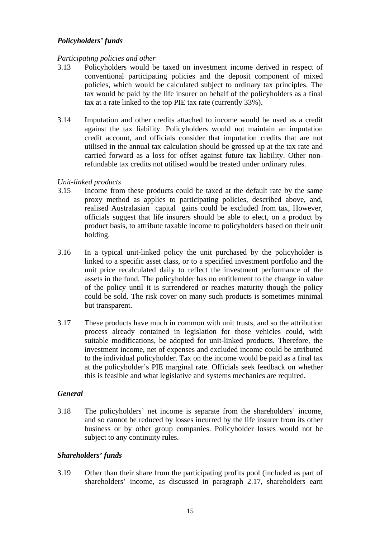## *Policyholders' funds*

## *Participating policies and other*

- 3.13 Policyholders would be taxed on investment income derived in respect of conventional participating policies and the deposit component of mixed policies, which would be calculated subject to ordinary tax principles. The tax would be paid by the life insurer on behalf of the policyholders as a final tax at a rate linked to the top PIE tax rate (currently 33%).
- 3.14 Imputation and other credits attached to income would be used as a credit against the tax liability. Policyholders would not maintain an imputation credit account, and officials consider that imputation credits that are not utilised in the annual tax calculation should be grossed up at the tax rate and carried forward as a loss for offset against future tax liability. Other nonrefundable tax credits not utilised would be treated under ordinary rules.

### *Unit-linked products*

- 3.15 Income from these products could be taxed at the default rate by the same proxy method as applies to participating policies, described above, and, realised Australasian capital gains could be excluded from tax, However, officials suggest that life insurers should be able to elect, on a product by product basis, to attribute taxable income to policyholders based on their unit holding.
- 3.16 In a typical unit-linked policy the unit purchased by the policyholder is linked to a specific asset class, or to a specified investment portfolio and the unit price recalculated daily to reflect the investment performance of the assets in the fund. The policyholder has no entitlement to the change in value of the policy until it is surrendered or reaches maturity though the policy could be sold. The risk cover on many such products is sometimes minimal but transparent.
- 3.17 These products have much in common with unit trusts, and so the attribution process already contained in legislation for those vehicles could, with suitable modifications, be adopted for unit-linked products. Therefore, the investment income, net of expenses and excluded income could be attributed to the individual policyholder. Tax on the income would be paid as a final tax at the policyholder's PIE marginal rate. Officials seek feedback on whether this is feasible and what legislative and systems mechanics are required.

# *General*

3.18 The policyholders' net income is separate from the shareholders' income, and so cannot be reduced by losses incurred by the life insurer from its other business or by other group companies. Policyholder losses would not be subject to any continuity rules.

# *Shareholders' funds*

3.19 Other than their share from the participating profits pool (included as part of shareholders' income, as discussed in paragraph 2.17, shareholders earn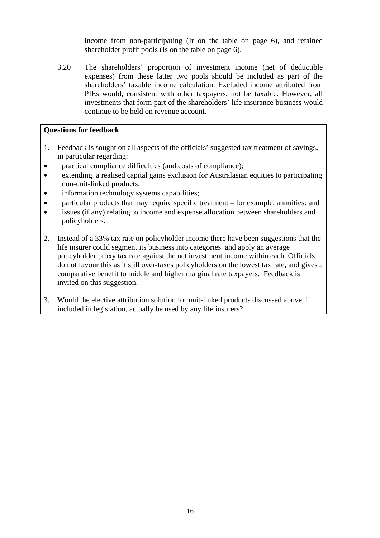income from non-participating (Ir on the table on page 6), and retained shareholder profit pools (Is on the table on page 6).

3.20 The shareholders' proportion of investment income (net of deductible expenses) from these latter two pools should be included as part of the shareholders' taxable income calculation. Excluded income attributed from PIEs would, consistent with other taxpayers, not be taxable. However, all investments that form part of the shareholders' life insurance business would continue to be held on revenue account.

## **Questions for feedback**

- 1. Feedback is sought on all aspects of the officials' suggested tax treatment of savings**,**  in particular regarding:
- practical compliance difficulties (and costs of compliance);
- extending a realised capital gains exclusion for Australasian equities to participating non-unit-linked products;
- information technology systems capabilities;
- particular products that may require specific treatment for example, annuities: and
- issues (if any) relating to income and expense allocation between shareholders and policyholders.
- 2. Instead of a 33% tax rate on policyholder income there have been suggestions that the life insurer could segment its business into categories and apply an average policyholder proxy tax rate against the net investment income within each. Officials do not favour this as it still over-taxes policyholders on the lowest tax rate, and gives a comparative benefit to middle and higher marginal rate taxpayers. Feedback is invited on this suggestion.
- 3. Would the elective attribution solution for unit-linked products discussed above, if included in legislation, actually be used by any life insurers?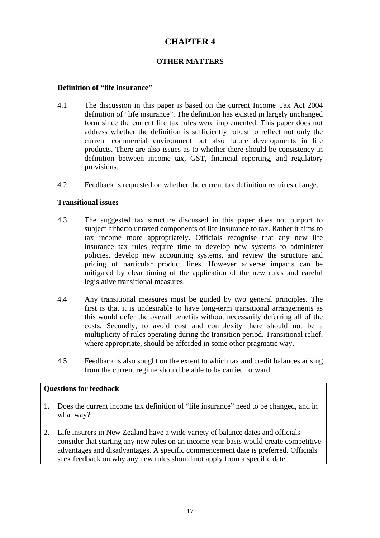# **CHAPTER 4**

# **OTHER MATTERS**

#### **Definition of "life insurance"**

- 4.1 The discussion in this paper is based on the current Income Tax Act 2004 definition of "life insurance". The definition has existed in largely unchanged form since the current life tax rules were implemented. This paper does not address whether the definition is sufficiently robust to reflect not only the current commercial environment but also future developments in life products. There are also issues as to whether there should be consistency in definition between income tax, GST, financial reporting, and regulatory provisions.
- 4.2 Feedback is requested on whether the current tax definition requires change.

### **Transitional issues**

- 4.3 The suggested tax structure discussed in this paper does not purport to subject hitherto untaxed components of life insurance to tax. Rather it aims to tax income more appropriately. Officials recognise that any new life insurance tax rules require time to develop new systems to administer policies, develop new accounting systems, and review the structure and pricing of particular product lines. However adverse impacts can be mitigated by clear timing of the application of the new rules and careful legislative transitional measures.
- 4.4 Any transitional measures must be guided by two general principles. The first is that it is undesirable to have long-term transitional arrangements as this would defer the overall benefits without necessarily deferring all of the costs. Secondly, to avoid cost and complexity there should not be a multiplicity of rules operating during the transition period. Transitional relief, where appropriate, should be afforded in some other pragmatic way.
- 4.5 Feedback is also sought on the extent to which tax and credit balances arising from the current regime should be able to be carried forward.

#### **Questions for feedback**

- 1. Does the current income tax definition of "life insurance" need to be changed, and in what way?
- 2. Life insurers in New Zealand have a wide variety of balance dates and officials consider that starting any new rules on an income year basis would create competitive advantages and disadvantages. A specific commencement date is preferred. Officials seek feedback on why any new rules should not apply from a specific date.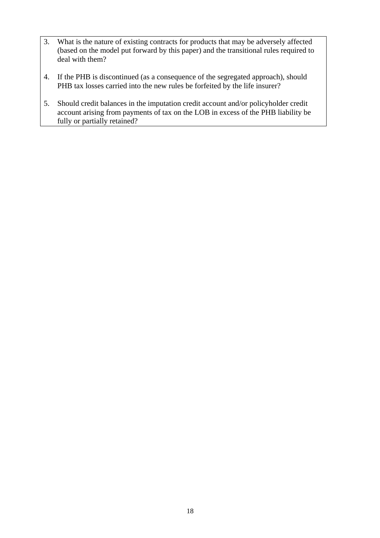- 3. What is the nature of existing contracts for products that may be adversely affected (based on the model put forward by this paper) and the transitional rules required to deal with them?
- 4. If the PHB is discontinued (as a consequence of the segregated approach), should PHB tax losses carried into the new rules be forfeited by the life insurer?
- 5. Should credit balances in the imputation credit account and/or policyholder credit account arising from payments of tax on the LOB in excess of the PHB liability be fully or partially retained?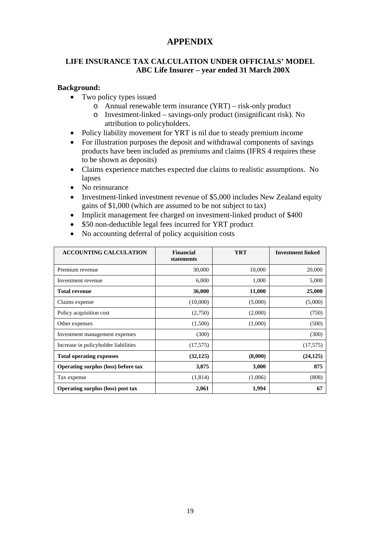# **APPENDIX**

# **LIFE INSURANCE TAX CALCULATION UNDER OFFICIALS' MODEL ABC Life Insurer – year ended 31 March 200X**

#### **Background:**

- Two policy types issued
	- o Annual renewable term insurance (YRT) risk-only product
	- o Investment-linked savings-only product (insignificant risk). No attribution to policyholders.
- Policy liability movement for YRT is nil due to steady premium income
- For illustration purposes the deposit and withdrawal components of savings products have been included as premiums and claims (IFRS 4 requires these to be shown as deposits)
- Claims experience matches expected due claims to realistic assumptions. No lapses
- No reinsurance
- Investment-linked investment revenue of \$5,000 includes New Zealand equity gains of \$1,000 (which are assumed to be not subject to tax)
- Implicit management fee charged on investment-linked product of \$400
- \$50 non-deductible legal fees incurred for YRT product
- No accounting deferral of policy acquisition costs

| <b>ACCOUNTING CALCULATION</b>              | <b>Financial</b><br>statements | <b>YRT</b> | <b>Investment linked</b> |
|--------------------------------------------|--------------------------------|------------|--------------------------|
| Premium revenue                            | 30,000                         | 10,000     | 20,000                   |
| Investment revenue                         | 6,000                          | 1,000      | 5,000                    |
| <b>Total revenue</b>                       | 36,000                         | 11,000     | 25,000                   |
| Claims expense                             | (10,000)                       | (5,000)    | (5,000)                  |
| Policy acquisition cost                    | (2,750)                        | (2,000)    | (750)                    |
| Other expenses                             | (1,500)                        | (1,000)    | (500)                    |
| Investment management expenses             | (300)                          |            | (300)                    |
| Increase in policyholder liabilities       | (17,575)                       |            | (17,575)                 |
| <b>Total operating expenses</b>            | (32, 125)                      | (8,000)    | (24, 125)                |
| <b>Operating surplus (loss) before tax</b> | 3,875                          | 3,000      | 875                      |
| Tax expense                                | (1,814)                        | (1,006)    | (808)                    |
| <b>Operating surplus (loss) post tax</b>   | 2,061                          | 1,994      | 67                       |